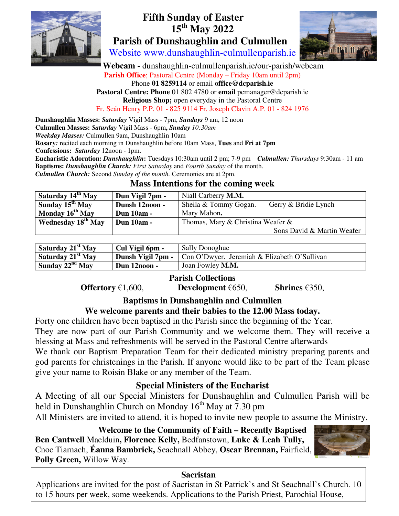

# **Fifth Sunday of Easter 15th May 2022 Parish of Dunshaughlin and Culmullen**

Website www.dunshaughlin-culmullenparish.ie

 **Webcam -** dunshaughlin-culmullenparish.ie/our-parish/webcam Parish Office; Pastoral Centre (Monday – Friday 10am until 2pm) Phone **01 8259114** or email **office@dcparish.ie Pastoral Centre: Phone** 01 802 4780 or **email** pcmanager@dcparish.ie **Religious Shop;** open everyday in the Pastoral Centre

Fr. Seán Henry P.P. 01 - 825 9114 Fr. Joseph Clavin A.P. 01 - 824 1976

**Dunshaughlin Masses:** *Saturday* Vigil Mass - 7pm, *Sundays* 9 am, 12 noon **Culmullen Masses:** *Saturday* Vigil Mass - 6pm**,** *Sunday 10:30am Weekday Masses:* Culmullen 9am, Dunshaughlin 10am **Rosary***:* recited each morning in Dunshaughlin before 10am Mass, **Tues** and **Fri at 7pm Confessions:** *Saturday* 12noon - 1pm. **Eucharistic Adoration:** *Dunshaughlin***:** Tuesdays 10:30am until 2 pm; 7-9 pm *Culmullen: Thursdays* 9:30am - 11 am **Baptisms:** *Dunshaughlin Church: First Saturday* and *Fourth Sunday* of the month.

*Culmullen Church:* Second *Sunday of the month.* Ceremonies are at 2pm.

#### **Mass Intentions for the coming week**

| Saturday 14 <sup>th</sup> May  | Dun Vigil 7pm -   | Niall Carberry <b>M.M.</b>                    |
|--------------------------------|-------------------|-----------------------------------------------|
| Sunday $15^{th}$ May           | Dunsh 12noon -    | Sheila & Tommy Gogan.<br>Gerry & Bridie Lynch |
| Monday 16 <sup>th</sup> May    | <b>Dun 10am -</b> | Mary Mahon.                                   |
| Wednesday 18 <sup>th</sup> May | Dun 10am -        | Thomas, Mary & Christina Weafer &             |
|                                |                   | Sons David & Martin Weafer                    |

| Saturday 21 <sup>st</sup> May | Cul Vigil 6pm -   | <b>Sally Donoghue</b>                        |
|-------------------------------|-------------------|----------------------------------------------|
| Saturday 21 <sup>st</sup> May | Dunsh Vigil 7pm - | Con O'Dwyer. Jeremiah & Elizabeth O'Sullivan |
| Sunday $22^{nd}$ May          | Dun 12noon -      | Joan Fowley M.M.                             |

# **Parish Collections**

**Offertory** €1,600, **Development** €650, **Shrines** €350,

# **Baptisms in Dunshaughlin and Culmullen**

#### **We welcome parents and their babies to the 12.00 Mass today.**

Forty one children have been baptised in the Parish since the beginning of the Year. They are now part of our Parish Community and we welcome them. They will receive a

blessing at Mass and refreshments will be served in the Pastoral Centre afterwards

We thank our Baptism Preparation Team for their dedicated ministry preparing parents and god parents for christenings in the Parish. If anyone would like to be part of the Team please give your name to Roisin Blake or any member of the Team.

#### **Special Ministers of the Eucharist**

A Meeting of all our Special Ministers for Dunshaughlin and Culmullen Parish will be held in Dunshaughlin Church on Monday  $16<sup>th</sup>$  May at 7.30 pm

All Ministers are invited to attend, it is hoped to invite new people to assume the Ministry.

**Welcome to the Community of Faith – Recently Baptised Ben Cantwell** Maelduin**, Florence Kelly,** Bedfanstown, **Luke & Leah Tully,**  Cnoc Tiarnach, **Éanna Bambrick,** Seachnall Abbey, **Oscar Brennan,** Fairfield, **Polly Green,** Willow Way.



#### **Sacristan**

Applications are invited for the post of Sacristan in St Patrick's and St Seachnall's Church. 10 to 15 hours per week, some weekends. Applications to the Parish Priest, Parochial House,